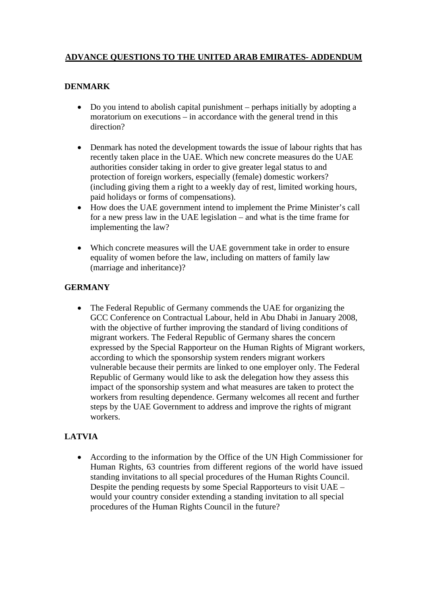## **ADVANCE QUESTIONS TO THE UNITED ARAB EMIRATES- ADDENDUM**

### **DENMARK**

- Do you intend to abolish capital punishment perhaps initially by adopting a moratorium on executions – in accordance with the general trend in this direction?
- Denmark has noted the development towards the issue of labour rights that has recently taken place in the UAE. Which new concrete measures do the UAE authorities consider taking in order to give greater legal status to and protection of foreign workers, especially (female) domestic workers? (including giving them a right to a weekly day of rest, limited working hours, paid holidays or forms of compensations).
- How does the UAE government intend to implement the Prime Minister's call for a new press law in the UAE legislation – and what is the time frame for implementing the law?
- Which concrete measures will the UAE government take in order to ensure equality of women before the law, including on matters of family law (marriage and inheritance)?

### **GERMANY**

• The Federal Republic of Germany commends the UAE for organizing the GCC Conference on Contractual Labour, held in Abu Dhabi in January 2008, with the objective of further improving the standard of living conditions of migrant workers. The Federal Republic of Germany shares the concern expressed by the Special Rapporteur on the Human Rights of Migrant workers, according to which the sponsorship system renders migrant workers vulnerable because their permits are linked to one employer only. The Federal Republic of Germany would like to ask the delegation how they assess this impact of the sponsorship system and what measures are taken to protect the workers from resulting dependence. Germany welcomes all recent and further steps by the UAE Government to address and improve the rights of migrant workers.

# **LATVIA**

• According to the information by the Office of the UN High Commissioner for Human Rights, 63 countries from different regions of the world have issued standing invitations to all special procedures of the Human Rights Council. Despite the pending requests by some Special Rapporteurs to visit UAE – would your country consider extending a standing invitation to all special procedures of the Human Rights Council in the future?